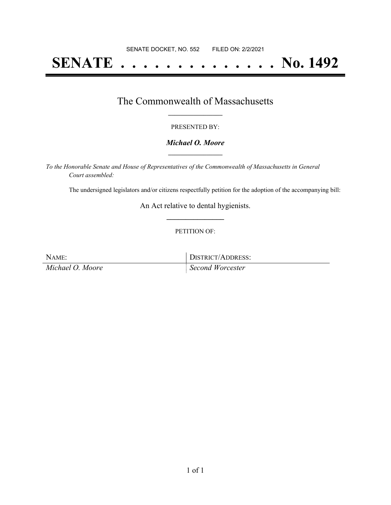# **SENATE . . . . . . . . . . . . . . No. 1492**

### The Commonwealth of Massachusetts **\_\_\_\_\_\_\_\_\_\_\_\_\_\_\_\_\_**

#### PRESENTED BY:

#### *Michael O. Moore* **\_\_\_\_\_\_\_\_\_\_\_\_\_\_\_\_\_**

*To the Honorable Senate and House of Representatives of the Commonwealth of Massachusetts in General Court assembled:*

The undersigned legislators and/or citizens respectfully petition for the adoption of the accompanying bill:

An Act relative to dental hygienists. **\_\_\_\_\_\_\_\_\_\_\_\_\_\_\_**

#### PETITION OF:

NAME: DISTRICT/ADDRESS:

*Michael O. Moore Second Worcester*